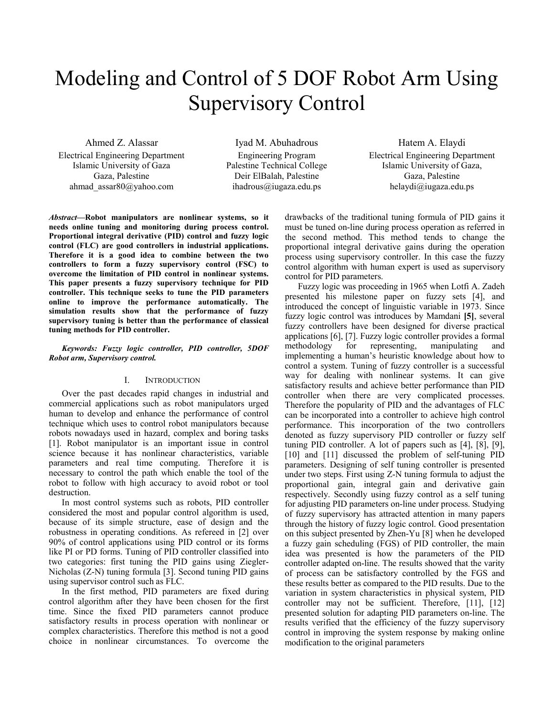# Modeling and Control of 5 DOF Robot Arm Using Supervisory Control

Ahmed Z. Alassar Electrical Engineering Department Islamic University of Gaza Gaza, Palestine ahmad\_assar80@yahoo.com

Iyad M. Abuhadrous Engineering Program Palestine Technical College Deir ElBalah, Palestine ihadrous@iugaza.edu.ps

Hatem A. Elaydi Electrical Engineering Department Islamic University of Gaza, Gaza, Palestine helaydi@iugaza.edu.ps

*Abstract***—Robot manipulators are nonlinear systems, so it needs online tuning and monitoring during process control. Proportional integral derivative (PID) control and fuzzy logic control (FLC) are good controllers in industrial applications. Therefore it is a good idea to combine between the two controllers to form a fuzzy supervisory control (FSC) to overcome the limitation of PID control in nonlinear systems. This paper presents a fuzzy supervisory technique for PID controller. This technique seeks to tune the PID parameters online to improve the performance automatically. The simulation results show that the performance of fuzzy supervisory tuning is better than the performance of classical tuning methods for PID controller.** 

## *Keywords: Fuzzy logic controller, PID controller, 5DOF Robot arm, Supervisory control.*

## I. INTRODUCTION

Over the past decades rapid changes in industrial and commercial applications such as robot manipulators urged human to develop and enhance the performance of control technique which uses to control robot manipulators because robots nowadays used in hazard, complex and boring tasks [1]. Robot manipulator is an important issue in control science because it has nonlinear characteristics, variable parameters and real time computing. Therefore it is necessary to control the path which enable the tool of the robot to follow with high accuracy to avoid robot or tool destruction.

In most control systems such as robots, PID controller considered the most and popular control algorithm is used, because of its simple structure, ease of design and the robustness in operating conditions. As refereed in [2] over 90% of control applications using PID control or its forms like PI or PD forms. Tuning of PID controller classified into two categories: first tuning the PID gains using Ziegler-Nicholas (Z-N) tuning formula [3]. Second tuning PID gains using supervisor control such as FLC.

In the first method, PID parameters are fixed during control algorithm after they have been chosen for the first time. Since the fixed PID parameters cannot produce satisfactory results in process operation with nonlinear or complex characteristics. Therefore this method is not a good choice in nonlinear circumstances. To overcome the

drawbacks of the traditional tuning formula of PID gains it must be tuned on-line during process operation as referred in the second method. This method tends to change the proportional integral derivative gains during the operation process using supervisory controller. In this case the fuzzy control algorithm with human expert is used as supervisory control for PID parameters.

Fuzzy logic was proceeding in 1965 when Lotfi A. Zadeh presented his milestone paper on fuzzy sets [4], and introduced the concept of linguistic variable in 1973. Since fuzzy logic control was introduces by Mamdani **[5]**, several fuzzy controllers have been designed for diverse practical applications [6], [7]. Fuzzy logic controller provides a formal methodology for representing, manipulating and implementing a human's heuristic knowledge about how to control a system. Tuning of fuzzy controller is a successful way for dealing with nonlinear systems. It can give satisfactory results and achieve better performance than PID controller when there are very complicated processes. Therefore the popularity of PID and the advantages of FLC can be incorporated into a controller to achieve high control performance. This incorporation of the two controllers denoted as fuzzy supervisory PID controller or fuzzy self tuning PID controller. A lot of papers such as [4], [8], [9], [10] and [11] discussed the problem of self-tuning PID parameters. Designing of self tuning controller is presented under two steps. First using Z-N tuning formula to adjust the proportional gain, integral gain and derivative gain respectively. Secondly using fuzzy control as a self tuning for adjusting PID parameters on-line under process. Studying of fuzzy supervisory has attracted attention in many papers through the history of fuzzy logic control. Good presentation on this subject presented by Zhen-Yu [8] when he developed a fuzzy gain scheduling (FGS) of PID controller, the main idea was presented is how the parameters of the PID controller adapted on-line. The results showed that the varity of process can be satisfactory controlled by the FGS and these results better as compared to the PID results. Due to the variation in system characteristics in physical system, PID controller may not be sufficient. Therefore, [11], [12] presented solution for adapting PID parameters on-line. The results verified that the efficiency of the fuzzy supervisory control in improving the system response by making online modification to the original parameters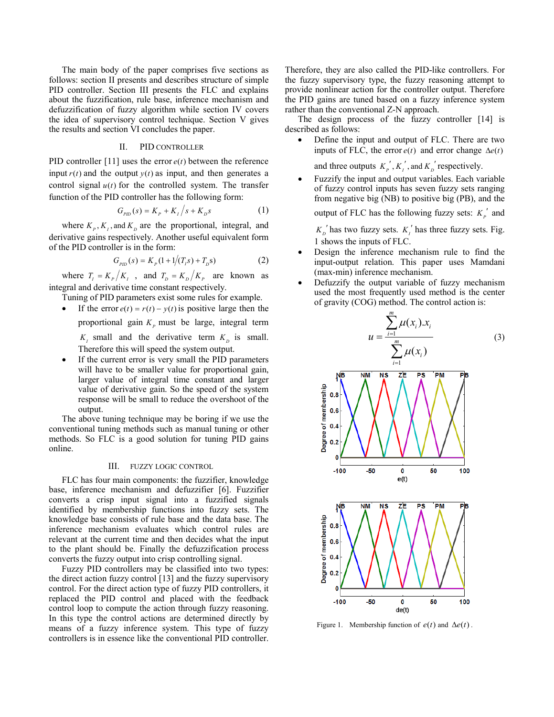The main body of the paper comprises five sections as follows: section II presents and describes structure of simple PID controller. Section III presents the FLC and explains about the fuzzification, rule base, inference mechanism and defuzzification of fuzzy algorithm while section IV covers the idea of supervisory control technique. Section V gives the results and section VI concludes the paper.

# II. PID CONTROLLER

PID controller [11] uses the error  $e(t)$  between the reference input  $r(t)$  and the output  $y(t)$  as input, and then generates a control signal  $u(t)$  for the controlled system. The transfer function of the PID controller has the following form:

$$
G_{\rho_{ID}}(s) = K_{P} + K_{I}/s + K_{D}s
$$
 (1)

where  $K_p, K_t$ , and  $K_p$  are the proportional, integral, and derivative gains respectively. Another useful equivalent form of the PID controller is in the form:

$$
G_{\rho_{ID}}(s) = K_p \left(1 + 1/(T_i s) + T_p s\right) \tag{2}
$$

where  $T_i = K_p/K_i$ , and  $T_p = K_p/K_p$  are known as integral and derivative time constant respectively.

- Tuning of PID parameters exist some rules for example.
- If the error  $e(t) = r(t) v(t)$  is positive large then the proportional gain  $K_p$  must be large, integral term  $K_l$  small and the derivative term  $K_p$  is small.

Therefore this will speed the system output.

• If the current error is very small the PID parameters will have to be smaller value for proportional gain, larger value of integral time constant and larger value of derivative gain. So the speed of the system response will be small to reduce the overshoot of the output.

The above tuning technique may be boring if we use the conventional tuning methods such as manual tuning or other methods. So FLC is a good solution for tuning PID gains online.

#### III. FUZZY LOGIC CONTROL

FLC has four main components: the fuzzifier, knowledge base, inference mechanism and defuzzifier [6]. Fuzzifier converts a crisp input signal into a fuzzified signals identified by membership functions into fuzzy sets. The knowledge base consists of rule base and the data base. The inference mechanism evaluates which control rules are relevant at the current time and then decides what the input to the plant should be. Finally the defuzzification process converts the fuzzy output into crisp controlling signal.

Fuzzy PID controllers may be classified into two types: the direct action fuzzy control [13] and the fuzzy supervisory control. For the direct action type of fuzzy PID controllers, it replaced the PID control and placed with the feedback control loop to compute the action through fuzzy reasoning. In this type the control actions are determined directly by means of a fuzzy inference system. This type of fuzzy controllers is in essence like the conventional PID controller. Therefore, they are also called the PID-like controllers. For the fuzzy supervisory type, the fuzzy reasoning attempt to provide nonlinear action for the controller output. Therefore the PID gains are tuned based on a fuzzy inference system rather than the conventional Z-N approach.

The design process of the fuzzy controller [14] is described as follows:

• Define the input and output of FLC. There are two inputs of FLC, the error  $e(t)$  and error change  $\Delta e(t)$ 

and three outputs  $K_p', K_i'$ , and  $K_p'$  respectively.

• Fuzzify the input and output variables. Each variable of fuzzy control inputs has seven fuzzy sets ranging from negative big (NB) to positive big (PB), and the

output of FLC has the following fuzzy sets:  $K_p'$  and

 $K_D^{\prime}$  has two fuzzy sets.  $K_I^{\prime}$  has three fuzzy sets. Fig. 1 shows the inputs of FLC.

- Design the inference mechanism rule to find the input-output relation. This paper uses Mamdani (max-min) inference mechanism.
- Defuzzify the output variable of fuzzy mechanism used the most frequently used method is the center of gravity (COG) method. The control action is:



Figure 1. Membership function of  $e(t)$  and  $\Delta e(t)$ .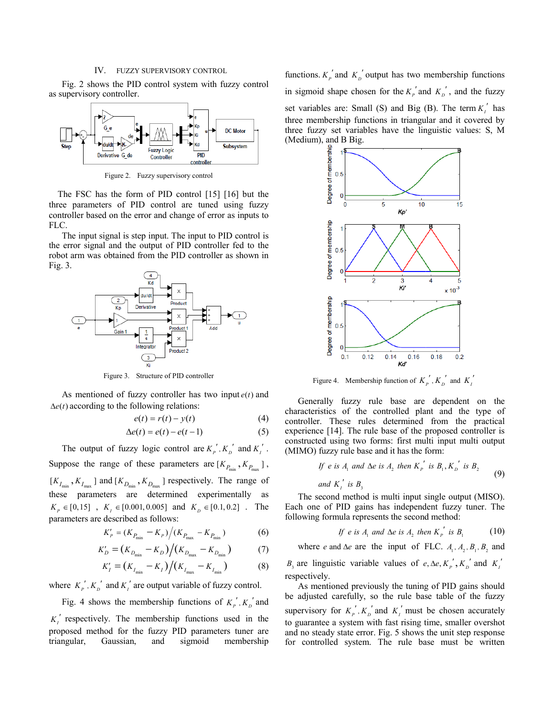### IV. FUZZY SUPERVISORY CONTROL

Fig. 2 shows the PID control system with fuzzy control as supervisory controller.



Figure 2. Fuzzy supervisory control

The FSC has the form of PID control [15] [16] but the three parameters of PID control are tuned using fuzzy controller based on the error and change of error as inputs to FLC.

The input signal is step input. The input to PID control is the error signal and the output of PID controller fed to the robot arm was obtained from the PID controller as shown in Fig. 3.



Figure 3. Structure of PID controller

As mentioned of fuzzy controller has two input  $e(t)$  and  $\Delta e(t)$  according to the following relations:

$$
e(t) = r(t) - y(t) \tag{4}
$$

$$
\Delta e(t) = e(t) - e(t-1) \tag{5}
$$

The output of fuzzy logic control are  $K_p^{'}, K_p^{'}$  and  $K_i^{'}$ . Suppose the range of these parameters are  $[K_{P_{\text{min}}} , K_{P_{\text{max}}} ]$ ,  $[K_{I_{\min}}, K_{I_{\max}}]$  and  $[K_{D_{\min}}, K_{D_{\max}}]$  respectively. The range of these parameters are determined experimentally as  $K_p \in [0,15]$  ,  $K_i \in [0.001, 0.005]$  and  $K_p \in [0.1, 0.2]$  . The parameters are described as follows:

$$
K'_{P} = (K_{P_{\min}} - K_{P})/(K_{P_{\max}} - K_{P_{\min}})
$$
 (6)

$$
K'_{D} = (K_{D_{\min}} - K_{D}) / (K_{D_{\max}} - K_{D_{\min}})
$$
 (7)

$$
K'_{I} = (K_{I_{\min}} - K_{I}) / (K_{I_{\max}} - K_{I_{\min}})
$$
 (8)

where  $K_p$ <sup>'</sup>,  $K_p$ <sup>'</sup> and  $K_i$ <sup>'</sup> are output variable of fuzzy control.

Fig. 4 shows the membership functions of  $K_p$ <sup>'</sup>,  $K_p$ <sup>'</sup> and  $K_I$ <sup>'</sup> respectively. The membership functions used in the proposed method for the fuzzy PID parameters tuner are triangular, Gaussian, and sigmoid membership

functions.  $K_p'$  and  $K_p'$  output has two membership functions in sigmoid shape chosen for the  $K_p'$  and  $K_p'$ , and the fuzzy set variables are: Small (S) and Big (B). The term  $K_i'$  has three membership functions in triangular and it covered by three fuzzy set variables have the linguistic values: S, M (Medium), and B Big.



Figure 4. Membership function of  $K_p'$ ,  $K_p'$  and  $K_l'$ 

Generally fuzzy rule base are dependent on the characteristics of the controlled plant and the type of controller. These rules determined from the practical experience [14]. The rule base of the proposed controller is constructed using two forms: first multi input multi output (MIMO) fuzzy rule base and it has the form:

If *e* is 
$$
A_1
$$
 and  $\Delta e$  is  $A_2$  then  $K_p'$  is  $B_1$ ,  $K_p'$  is  $B_2$   
and  $K'_1$  is  $B_3$  (9)

The second method is multi input single output (MISO). Each one of PID gains has independent fuzzy tuner. The following formula represents the second method:

If e is 
$$
A_1
$$
 and  $\Delta e$  is  $A_2$  then  $K_p'$  is  $B_1$  (10)

where *e* and  $\Delta e$  are the input of FLC.  $A_1, A_2, B_1, B_2$  and

 $B_3$  are linguistic variable values of  $e, \Delta e, K_p, K_p'$  and  $K_p'$ respectively.

As mentioned previously the tuning of PID gains should be adjusted carefully, so the rule base table of the fuzzy supervisory for  $K_p^{\prime}$ ,  $K_p^{\prime}$  and  $K_i^{\prime}$  must be chosen accurately to guarantee a system with fast rising time, smaller overshot and no steady state error. Fig. 5 shows the unit step response for controlled system. The rule base must be written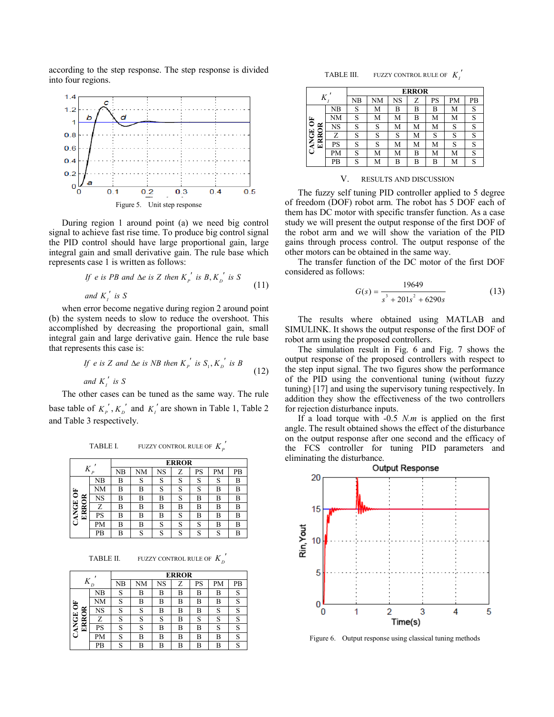according to the step response. The step response is divided into four regions.



During region 1 around point (a) we need big control signal to achieve fast rise time. To produce big control signal the PID control should have large proportional gain, large integral gain and small derivative gain. The rule base which represents case 1 is written as follows:

If e is PB and 
$$
\Delta e
$$
 is Z then  $K_p'$  is  $B$ ,  $K_p'$  is S  
and  $K_i'$  is S\n
$$
(11)
$$

when error become negative during region 2 around point (b) the system needs to slow to reduce the overshoot. This accomplished by decreasing the proportional gain, small integral gain and large derivative gain. Hence the rule base that represents this case is:

If e is Z and 
$$
\Delta e
$$
 is NB then  $K_p'$  is  $S_1, K_p'$  is B  
and  $K_i'$  is S (12)

The other cases can be tuned as the same way. The rule base table of  $K_p^{\prime}$ ,  $K_p^{\prime}$  and  $K_i^{\prime}$  are shown in Table 1, Table 2 and Table 3 respectively.

TABLE I. FUZZY CONTROL RULE OF  $K_p^{\prime}$ 

| $\overline{P}$ |    | <b>ERROR</b> |    |    |   |    |    |    |  |
|----------------|----|--------------|----|----|---|----|----|----|--|
|                |    | NB           | NΜ | NS | Z | PS | PМ | PВ |  |
|                | NB | B            | S  | S  | S | S  | S  | В  |  |
| $\overline{6}$ | NΜ | B            | В  | S  | S | S  | В  | В  |  |
| ≃<br>≏         | NS | B            | В  | B  | S | B  | B  | В  |  |
|                | Z  | B            | В  | B  | B | В  | B  | В  |  |
| CANGE<br>ERR   | PS | B            | В  | B  | S | В  | B  | В  |  |
|                | PM | B            | B  | S  | S | S  | B  | B  |  |
|                | PB | R            | S  | S  | S | S  | c  |    |  |

TABLE II. FUZZY CONTROL RULE OF  $K_D^{\prime}$ 

| Κ<br>D                                      |    | <b>ERROR</b>     |        |    |   |    |    |    |  |
|---------------------------------------------|----|------------------|--------|----|---|----|----|----|--|
|                                             |    | NB               | NΜ     | NS | Z | PS | PM | PВ |  |
| $\overline{6}$<br>≃<br>CANGE<br>≏<br>Ř<br>⊡ | NB | S                | B      | В  | B | B  | B  | S  |  |
|                                             | NΜ | S                | B      | B  | B | B  | B  | S  |  |
|                                             | NS | S                | c<br>٥ | B  | B | B  | S  | S  |  |
|                                             | Z  | $\mathbf C$      | c      | S  | B | S  | S  | S  |  |
|                                             | PS | $\mathbf C$<br>د | c      | В  | B | B  | S  | S  |  |
|                                             | PМ | c<br>O           | B      | В  | B | B  | В  | S  |  |
|                                             | PВ | c<br>Ω           | B      | В  | B | B  | В  | S  |  |

TABLE III. FUZZY CONTROL RULE OF  $K_t'$ 

|                       |    | <b>ERROR</b> |    |    |   |    |    |    |  |
|-----------------------|----|--------------|----|----|---|----|----|----|--|
| A                     |    | NB           | NΜ | NS | Z | PS | PМ | PB |  |
|                       | NΒ | S            | М  | В  | B | B  | М  | S  |  |
| ă                     | NΜ | S            | M  | М  | B | М  | М  | S  |  |
| ≃                     | NS | S            | S  | М  | M | М  | S  | S  |  |
| ≃                     | Z  | S            | S  | S  | M | S  | S  | S  |  |
| <b>ANGE</b><br>≃<br>ш | PS | S            | S  | М  | M | М  | S  | S  |  |
| τi                    | PM | S            | M  | М  | В | М  | М  | S  |  |
|                       | PB | S            | M  | В  | B | В  | M  | S  |  |

#### V. RESULTS AND DISCUSSION

The fuzzy self tuning PID controller applied to 5 degree of freedom (DOF) robot arm. The robot has 5 DOF each of them has DC motor with specific transfer function. As a case study we will present the output response of the first DOF of the robot arm and we will show the variation of the PID gains through process control. The output response of the other motors can be obtained in the same way.

The transfer function of the DC motor of the first DOF considered as follows:

$$
G(s) = \frac{19649}{s^3 + 201s^2 + 6290s}
$$
 (13)

The results where obtained using MATLAB and SIMULINK. It shows the output response of the first DOF of robot arm using the proposed controllers.

The simulation result in Fig. 6 and Fig. 7 shows the output response of the proposed controllers with respect to the step input signal. The two figures show the performance of the PID using the conventional tuning (without fuzzy tuning) [17] and using the supervisory tuning respectively. In addition they show the effectiveness of the two controllers for rejection disturbance inputs.

If a load torque with -0.5 *N.m* is applied on the first angle. The result obtained shows the effect of the disturbance on the output response after one second and the efficacy of the FCS controller for tuning PID parameters and eliminating the disturbance.



Figure 6. Output response using classical tuning methods